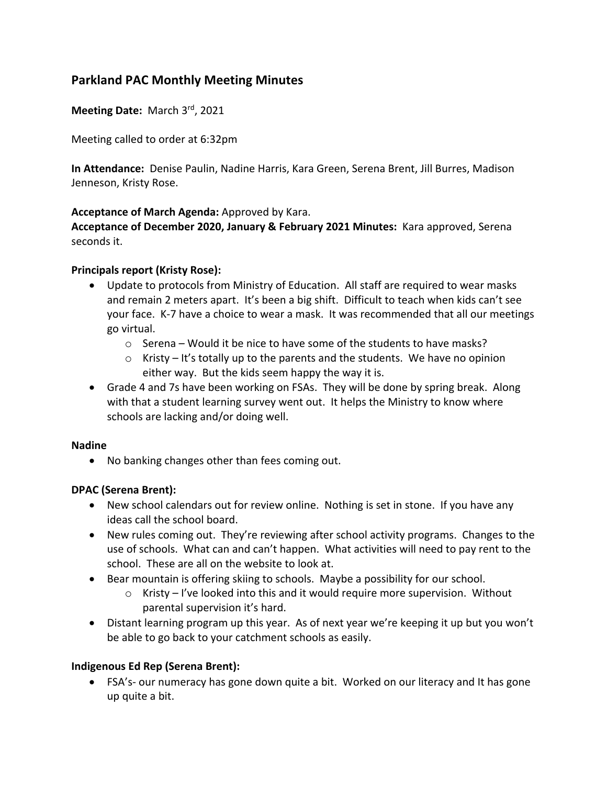# **Parkland PAC Monthly Meeting Minutes**

**Meeting Date:** March 3rd, 2021

Meeting called to order at 6:32pm

**In Attendance:** Denise Paulin, Nadine Harris, Kara Green, Serena Brent, Jill Burres, Madison Jenneson, Kristy Rose.

### **Acceptance of March Agenda:** Approved by Kara.

**Acceptance of December 2020, January & February 2021 Minutes:** Kara approved, Serena seconds it.

## **Principals report (Kristy Rose):**

- Update to protocols from Ministry of Education. All staff are required to wear masks and remain 2 meters apart. It's been a big shift. Difficult to teach when kids can't see your face. K-7 have a choice to wear a mask. It was recommended that all our meetings go virtual.
	- o Serena Would it be nice to have some of the students to have masks?
	- $\circ$  Kristy It's totally up to the parents and the students. We have no opinion either way. But the kids seem happy the way it is.
- Grade 4 and 7s have been working on FSAs. They will be done by spring break. Along with that a student learning survey went out. It helps the Ministry to know where schools are lacking and/or doing well.

### **Nadine**

• No banking changes other than fees coming out.

# **DPAC (Serena Brent):**

- New school calendars out for review online. Nothing is set in stone. If you have any ideas call the school board.
- New rules coming out. They're reviewing after school activity programs. Changes to the use of schools. What can and can't happen. What activities will need to pay rent to the school. These are all on the website to look at.
- Bear mountain is offering skiing to schools. Maybe a possibility for our school.
	- $\circ$  Kristy I've looked into this and it would require more supervision. Without parental supervision it's hard.
- Distant learning program up this year. As of next year we're keeping it up but you won't be able to go back to your catchment schools as easily.

# **Indigenous Ed Rep (Serena Brent):**

• FSA's- our numeracy has gone down quite a bit. Worked on our literacy and It has gone up quite a bit.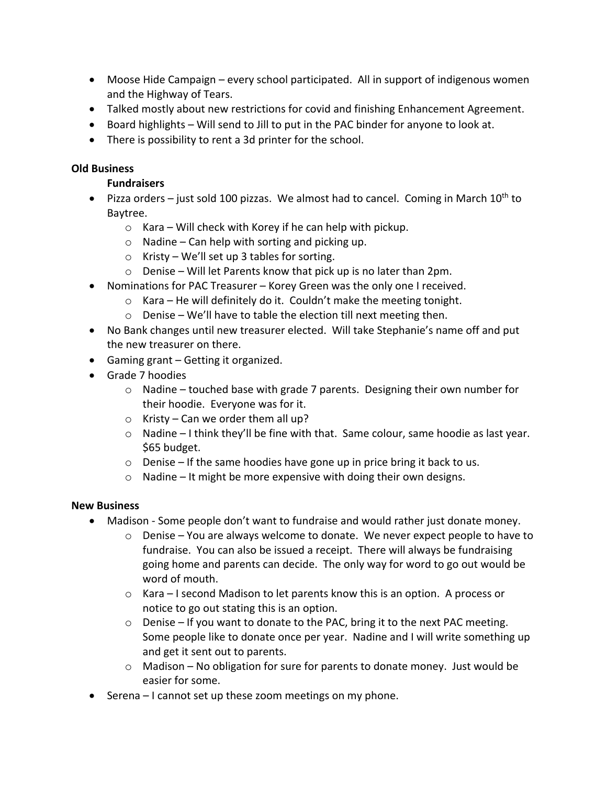- Moose Hide Campaign every school participated. All in support of indigenous women and the Highway of Tears.
- Talked mostly about new restrictions for covid and finishing Enhancement Agreement.
- Board highlights Will send to Jill to put in the PAC binder for anyone to look at.
- There is possibility to rent a 3d printer for the school.

## **Old Business**

## **Fundraisers**

- Pizza orders just sold 100 pizzas. We almost had to cancel. Coming in March  $10^{th}$  to Baytree.
	- $\circ$  Kara Will check with Korey if he can help with pickup.
	- $\circ$  Nadine Can help with sorting and picking up.
	- o Kristy We'll set up 3 tables for sorting.
	- $\circ$  Denise Will let Parents know that pick up is no later than 2pm.
- Nominations for PAC Treasurer Korey Green was the only one I received.
	- $\circ$  Kara He will definitely do it. Couldn't make the meeting tonight.
	- $\circ$  Denise We'll have to table the election till next meeting then.
- No Bank changes until new treasurer elected. Will take Stephanie's name off and put the new treasurer on there.
- Gaming grant Getting it organized.
- Grade 7 hoodies
	- $\circ$  Nadine touched base with grade 7 parents. Designing their own number for their hoodie. Everyone was for it.
	- $\circ$  Kristy Can we order them all up?
	- $\circ$  Nadine I think they'll be fine with that. Same colour, same hoodie as last year. \$65 budget.
	- $\circ$  Denise If the same hoodies have gone up in price bring it back to us.
	- $\circ$  Nadine It might be more expensive with doing their own designs.

### **New Business**

- Madison Some people don't want to fundraise and would rather just donate money.
	- $\circ$  Denise You are always welcome to donate. We never expect people to have to fundraise. You can also be issued a receipt. There will always be fundraising going home and parents can decide. The only way for word to go out would be word of mouth.
	- o Kara I second Madison to let parents know this is an option. A process or notice to go out stating this is an option.
	- $\circ$  Denise If you want to donate to the PAC, bring it to the next PAC meeting. Some people like to donate once per year. Nadine and I will write something up and get it sent out to parents.
	- $\circ$  Madison No obligation for sure for parents to donate money. Just would be easier for some.
- Serena I cannot set up these zoom meetings on my phone.